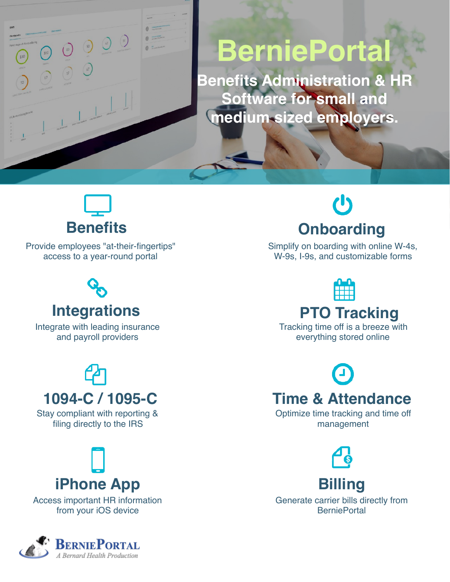

**Benefits Administration & HR Software for small and medium sized employers.**

## **Benefits**

 $\begin{array}{c} \odot \\ \odot \end{array}$ 

 $\bigcirc$ 

Provide employees "at-their-fingertips" access to a year-round portal

# **Integrations**

Integrate with leading insurance and payroll providers

# **1094-C / 1095-C**

Stay compliant with reporting & filing directly to the IRS

# **iPhone App**

Access important HR information from your iOS device



# **Onboarding**

Simplify on boarding with online W-4s, W-9s, I-9s, and customizable forms

**PTO Tracking**

Tracking time off is a breeze with everything stored online

### **Time & Attendance**

Optimize time tracking and time off management



**Billing** Generate carrier bills directly from **BerniePortal**